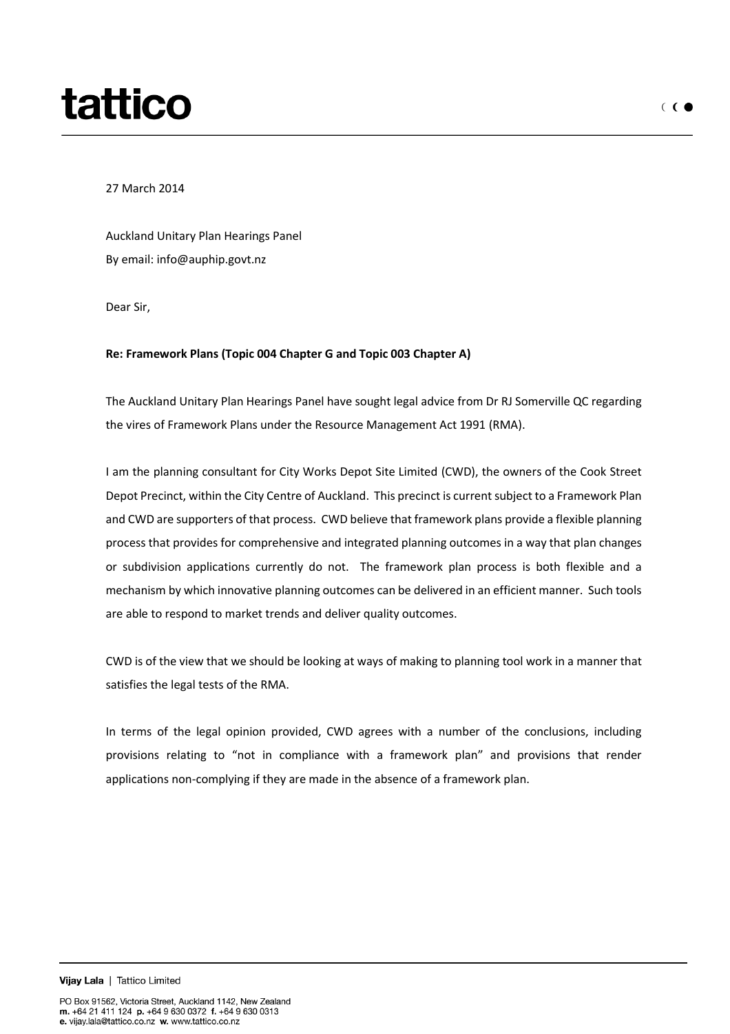## tattico

27 March 2014

Auckland Unitary Plan Hearings Panel By email: info@auphip.govt.nz

Dear Sir,

## **Re: Framework Plans (Topic 004 Chapter G and Topic 003 Chapter A)**

The Auckland Unitary Plan Hearings Panel have sought legal advice from Dr RJ Somerville QC regarding the vires of Framework Plans under the Resource Management Act 1991 (RMA).

I am the planning consultant for City Works Depot Site Limited (CWD), the owners of the Cook Street Depot Precinct, within the City Centre of Auckland. This precinct is current subject to a Framework Plan and CWD are supporters of that process. CWD believe that framework plans provide a flexible planning process that provides for comprehensive and integrated planning outcomes in a way that plan changes or subdivision applications currently do not. The framework plan process is both flexible and a mechanism by which innovative planning outcomes can be delivered in an efficient manner. Such tools are able to respond to market trends and deliver quality outcomes.

CWD is of the view that we should be looking at ways of making to planning tool work in a manner that satisfies the legal tests of the RMA.

In terms of the legal opinion provided, CWD agrees with a number of the conclusions, including provisions relating to "not in compliance with a framework plan" and provisions that render applications non-complying if they are made in the absence of a framework plan.